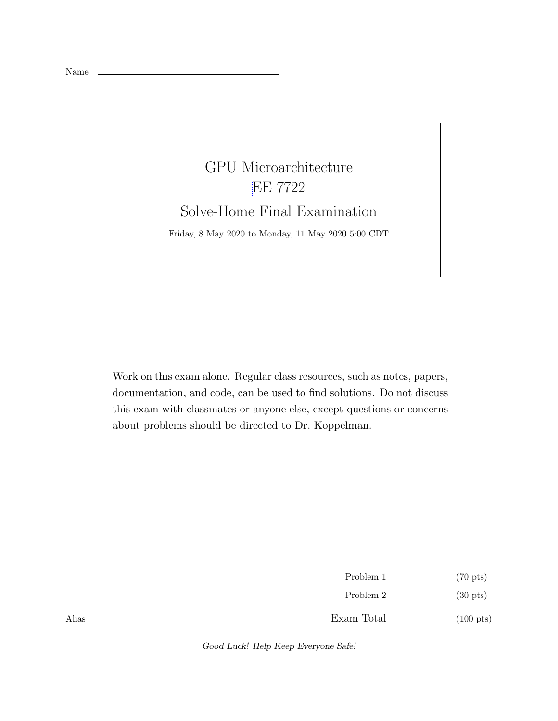## GPU Microarchitecture [EE 7722](https://www.ece.lsu.edu/gp/) Solve-Home Final Examination Friday, 8 May 2020 to Monday, 11 May 2020 5:00 CDT

Work on this exam alone. Regular class resources, such as notes, papers, documentation, and code, can be used to find solutions. Do not discuss this exam with classmates or anyone else, except questions or concerns about problems should be directed to Dr. Koppelman.

| Problem 1 | $(70 \text{ pts})$ |
|-----------|--------------------|

Problem 2 (30 pts)

Exam Total (100 pts)

Good Luck! Help Keep Everyone Safe!

Alias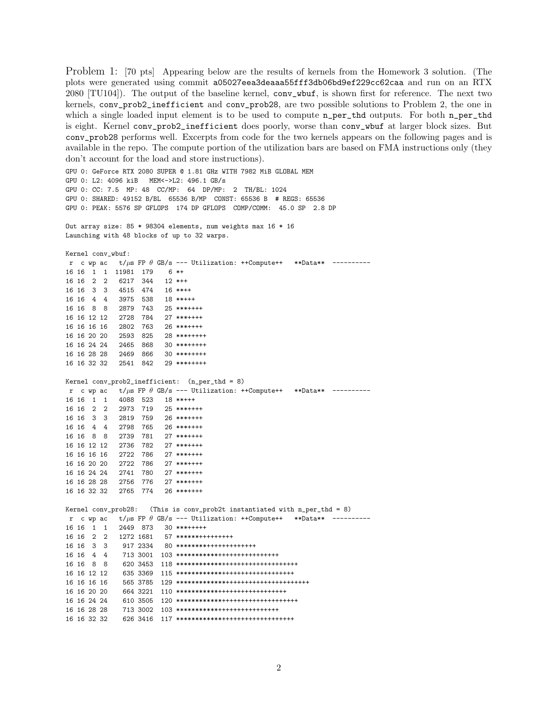Problem 1: [70 pts] Appearing below are the results of kernels from the Homework 3 solution. (The plots were generated using commit a05027eea3deaaa55fff3db06bd9ef229cc62caa and run on an RTX 2080 [TU104]). The output of the baseline kernel, conv\_wbuf, is shown first for reference. The next two kernels, conv\_prob2\_inefficient and conv\_prob28, are two possible solutions to Problem 2, the one in which a single loaded input element is to be used to compute  $n_{per\_thd}$  outputs. For both  $n_{per\_thd}$ is eight. Kernel conv\_prob2\_inefficient does poorly, worse than conv\_wbuf at larger block sizes. But conv\_prob28 performs well. Excerpts from code for the two kernels appears on the following pages and is available in the repo. The compute portion of the utilization bars are based on FMA instructions only (they don't account for the load and store instructions).

GPU 0: GeForce RTX 2080 SUPER @ 1.81 GHz WITH 7982 MiB GLOBAL MEM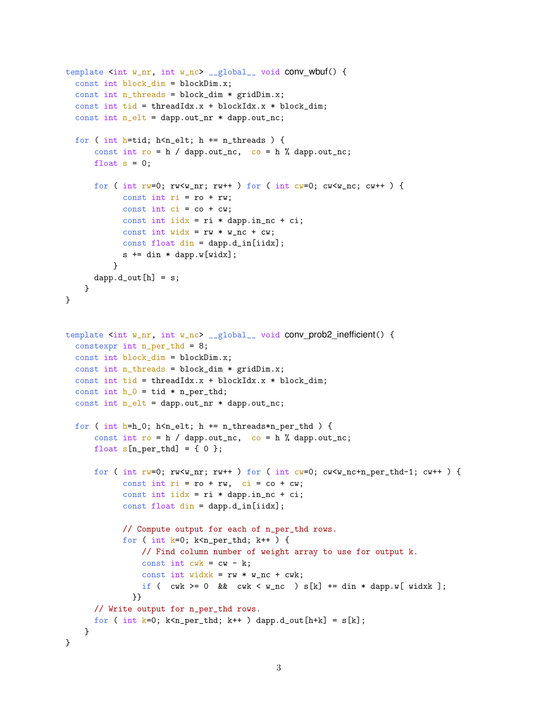```
template \sin t w_nr, int w_nc> __global__ void conv wbuf() {
  const int block_dim = blockDim.x;
  const int n_threads = block_dim * gridDim.x;
  const int tid = threadIdx.x + blockIdx.x * block_dim;
  const int n<sup>-elt =</sup> dapp.out_nr * dapp.out_nc;
  for ( int h=tid; h <n_elt; h += n_threads ) {
      const int ro = h / dapp.out_nc, co = h % dapp.out_nc;
      float s = 0;
      for ( int rw=0; rw\leq w_nr; rw++ ) for ( int cw=0; cw\leq w_nr, cw++ ) {
            const int ri = ro + rw;const int ci = co + cw;
            const int iidx = ri * dapp.in_nc + ci;
            const int widx = rw * w_nc + cw;const float din = dapp.d_in[iidx];
            s += din * dapp.w[widx];
          }
      ddapp.d_out[h] = s;}
}
template <int w_nr, int w_nc> __global__ void conv_prob2_inefficient() {
  constexpr int n_per_thd = 8;
  const int block_dim = blockDim.x;
  const int n_{th}reads = block_dim * gridDim.x;
  const int tid = threadIdx.x + blockIdx.x * block_dim;
  const int h_0 = tid * n_{per}thd;
  const int n_elt = dapp.out_nr * dapp.out_nc;
  for ( int h=h_0; h <n_elt; h += n_threads*n_per_thd ) {
      const int ro = h / dapp.out_nc, co = h % dapp.out_nc;
      float s[n_per_thd] = \{ 0 \};for ( int rw=0; rw \leq w_nr; rw++ ) for ( int cw=0; cw \leq w_nrc+n_per_thd-1; cw++ ) {
            const int ri = ro + rw, ci = co + cw;
            const int iidx = ri * dapp.in_nc + ci;
            const float din = dapp.d_in[iidx];
            // Compute output for each of n_per_thd rows.
            for ( int k=0; k<sub>per-thd</sub>; k++ ) {
                // Find column number of weight array to use for output k.
                const int cwk = cw - k;
                const int widxk = rw * w_nc + cwk;
                if ( cwk \ge 0 && cwk \le w_nc ) s[k] += din * dapp.w[ widxk ];
              }}
      // Write output for n_per_thd rows.
      for ( int k=0; k<n_per_thd; k++ ) dapp.d_out[h+k] = s[k];
    }
}
```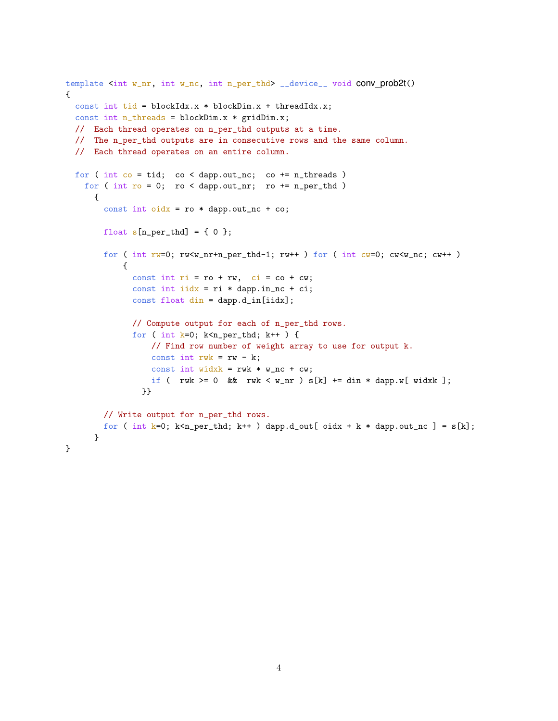```
template <int w_nr, int w_nc, int n_per_thd> __device__ void CONV_prob2t()
{
  const int tid = blockIdx.x * blockDim.x + threadIdx.x;
  const int n_threads = blockDim.x * gridDim.x;
  // Each thread operates on n_per_thd outputs at a time.
  // The n_per_thd outputs are in consecutive rows and the same column.
  // Each thread operates on an entire column.
  for ( int co = tid; co < damp.out_nc; co += n_threads)
    for ( int ro = 0; ro < dapp.out_nr; ro += n_{per\_thd} )
      {
        const int oidx = \text{ro} * \text{dapp.out\_nc} + \text{co};
        float s[n_per_thd] = \{ 0 \};for ( int rw=0; rw<w_nr+n_per_thd-1; rw++ ) for ( int cw=0; cw<w_nc; cw++ )
            {
              const int ri = ro + rw, ci = co + cw;
              const int iidx = ri * dapp.in_nc + ci;
              const float din = dapp.d_in[iidx];
              // Compute output for each of n_per_thd rows.
              for ( int k=0; k<sub>2</sub>per_thd; k++ ) {
                  // Find row number of weight array to use for output k.
                  const int rwk = rw - k;
                  const int widxk = rwk * w_nc + cw;if ( rwk \ge 0 & rwk \le w_nr ) s[k] += \text{dim} * \text{dapp.w} [ widxk ];
                }}
        // Write output for n_per_thd rows.
        for ( int k=0; k<n_per_thd; k++ ) dapp.d_out[ oidx + k * dapp.out_nc ] = s[k];
      }
}
```

```
4
```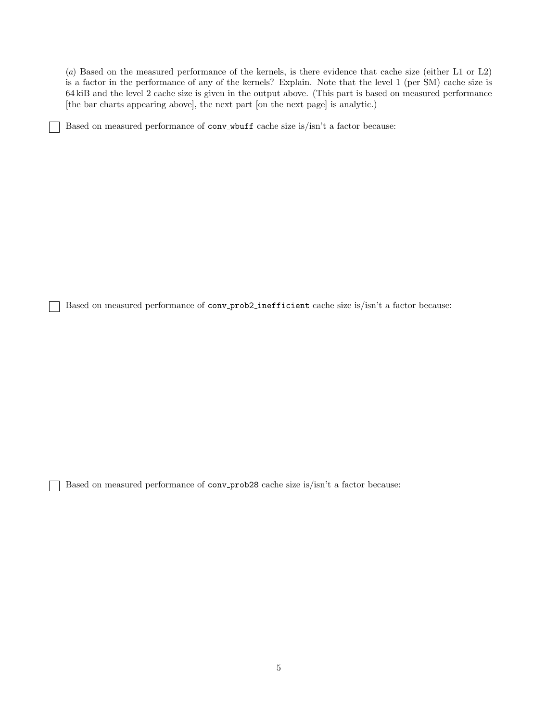(a) Based on the measured performance of the kernels, is there evidence that cache size (either L1 or L2) is a factor in the performance of any of the kernels? Explain. Note that the level 1 (per SM) cache size is 64 kiB and the level 2 cache size is given in the output above. (This part is based on measured performance [the bar charts appearing above], the next part [on the next page] is analytic.)

Based on measured performance of conv wbuff cache size is/isn't a factor because:

Based on measured performance of conv\_prob2\_inefficient cache size is/isn't a factor because:

Based on measured performance of conv prob28 cache size is/isn't a factor because: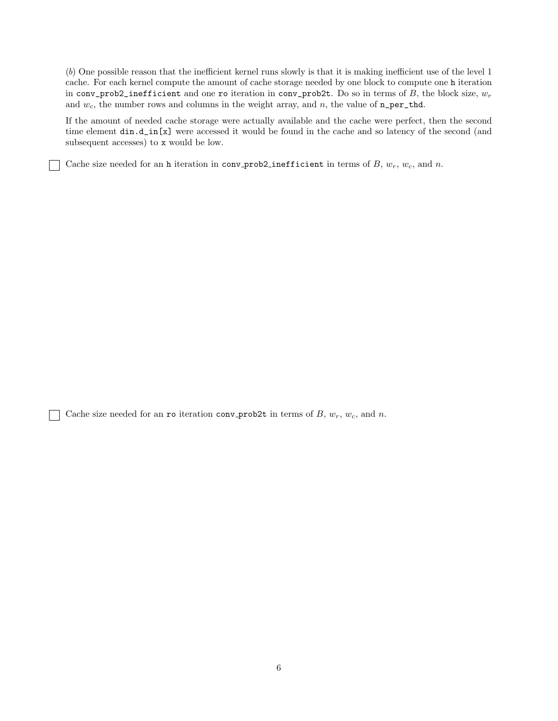(b) One possible reason that the inefficient kernel runs slowly is that it is making inefficient use of the level 1 cache. For each kernel compute the amount of cache storage needed by one block to compute one h iteration in conv\_prob2\_inefficient and one ro iteration in conv\_prob2t. Do so in terms of B, the block size,  $w_r$ and  $w_c$ , the number rows and columns in the weight array, and n, the value of  $n\_per\_thd$ .

If the amount of needed cache storage were actually available and the cache were perfect, then the second time element  $\dim \text{d}_\text{in}[\mathbf{x}]$  were accessed it would be found in the cache and so latency of the second (and subsequent accesses) to x would be low.

Cache size needed for an h iteration in conv-prob2-inefficient in terms of B,  $w_r$ ,  $w_c$ , and n.

Cache size needed for an ro iteration conv-prob2t in terms of B,  $w_r$ ,  $w_c$ , and n.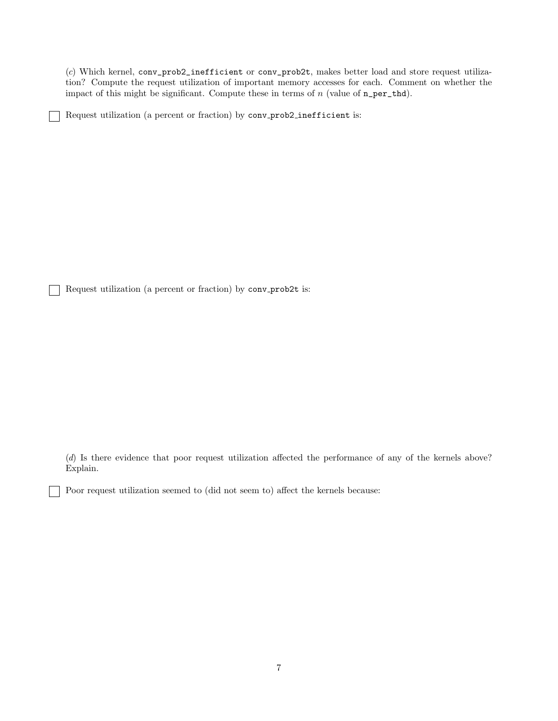(c) Which kernel, conv\_prob2\_inefficient or conv\_prob2t, makes better load and store request utilization? Compute the request utilization of important memory accesses for each. Comment on whether the impact of this might be significant. Compute these in terms of  $n$  (value of  $n_{per\_thd}$ ).

Request utilization (a percent or fraction) by conv prob2 inefficient is:

Request utilization (a percent or fraction) by conv-prob2t is:

(d) Is there evidence that poor request utilization affected the performance of any of the kernels above? Explain.

Poor request utilization seemed to (did not seem to) affect the kernels because: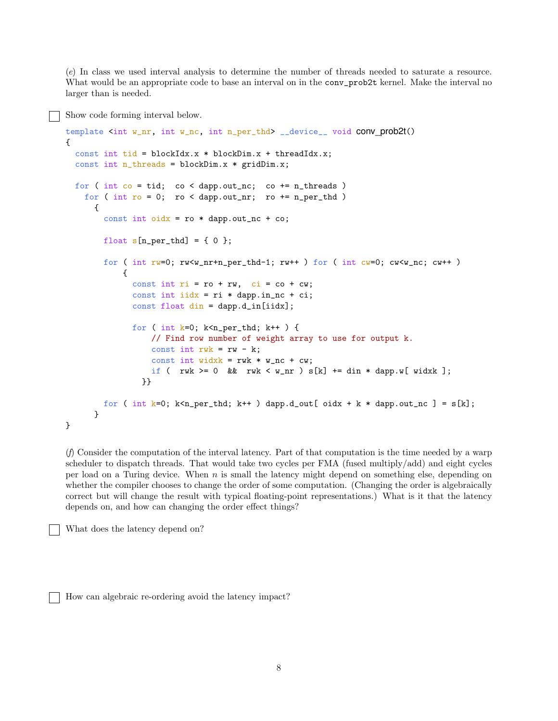(e) In class we used interval analysis to determine the number of threads needed to saturate a resource. What would be an appropriate code to base an interval on in the conv\_prob2t kernel. Make the interval no larger than is needed.

Show code forming interval below.

```
template <int w_nr, int w_nc, int n_per_thd> __device__ void conv_prob2t()
{
  const int tid = blockIdx.x * blockDim.x + threadIdx.x;
  const int n_threads = blockDim.x * gridDim.x;
  for ( int co = tid; co < dapp.out_nc; co += n_threads )
    for ( int ro = 0; ro < dapp.out_nr; ro += n_{per\_thd} )
      {
        const int oidx = \text{ro} * \text{dapp.out}_n\text{c} + \text{co};
        float s[n_per\_thd] = \{ 0 \};for ( int rw=0; rw<w_nr+n_per_thd-1; rw++ ) for ( int cw=0; cw<w_nc; cw++ )
            {
              const int ri = ro + rw, ci = co + cw;
              const int iidx = ri * dapp.in_nc + ci;
              const float din = dapp.d_in[iidx];
              for ( int k=0; k<sub>n</sub>per_thd; k++ ) {
                  // Find row number of weight array to use for output k.
                  const int rwk = rw - k;const int widxk = rwk * w_nc + cw;if ( rwk >= 0 && rwk < w_nr ) s[k] += din * dapp.w[ widxk ];
                 }}
        for ( int k=0; k<n_per_thd; k++ ) dapp.d_out[ oidx + k * dapp.out_nc ] = s[k];
      }
}
```
(f) Consider the computation of the interval latency. Part of that computation is the time needed by a warp scheduler to dispatch threads. That would take two cycles per FMA (fused multiply/add) and eight cycles per load on a Turing device. When n is small the latency might depend on something else, depending on whether the compiler chooses to change the order of some computation. (Changing the order is algebraically correct but will change the result with typical floating-point representations.) What is it that the latency depends on, and how can changing the order effect things?

What does the latency depend on?

How can algebraic re-ordering avoid the latency impact?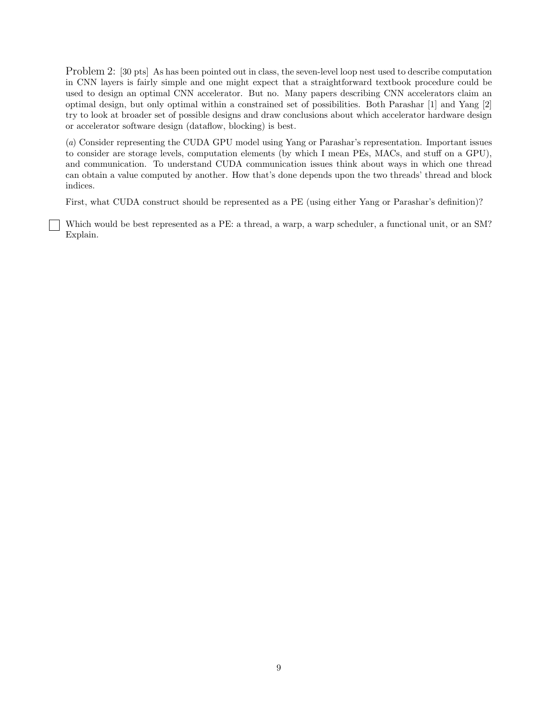Problem 2: [30 pts] As has been pointed out in class, the seven-level loop nest used to describe computation in CNN layers is fairly simple and one might expect that a straightforward textbook procedure could be used to design an optimal CNN accelerator. But no. Many papers describing CNN accelerators claim an optimal design, but only optimal within a constrained set of possibilities. Both Parashar [1] and Yang [2] try to look at broader set of possible designs and draw conclusions about which accelerator hardware design or accelerator software design (dataflow, blocking) is best.

(a) Consider representing the CUDA GPU model using Yang or Parashar's representation. Important issues to consider are storage levels, computation elements (by which I mean PEs, MACs, and stuff on a GPU), and communication. To understand CUDA communication issues think about ways in which one thread can obtain a value computed by another. How that's done depends upon the two threads' thread and block indices.

First, what CUDA construct should be represented as a PE (using either Yang or Parashar's definition)?

Which would be best represented as a PE: a thread, a warp, a warp scheduler, a functional unit, or an SM? Explain.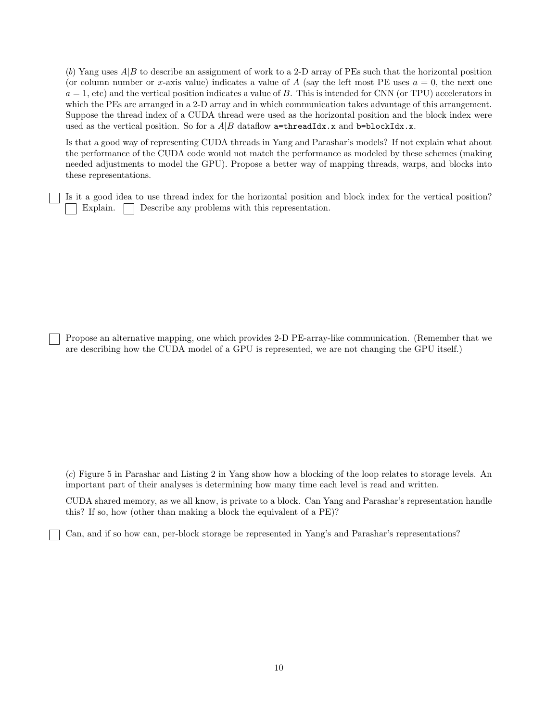(b) Yang uses  $A|B$  to describe an assignment of work to a 2-D array of PEs such that the horizontal position (or column number or x-axis value) indicates a value of A (say the left most PE uses  $a = 0$ , the next one  $a = 1$ , etc) and the vertical position indicates a value of B. This is intended for CNN (or TPU) accelerators in which the PEs are arranged in a 2-D array and in which communication takes advantage of this arrangement. Suppose the thread index of a CUDA thread were used as the horizontal position and the block index were used as the vertical position. So for a  $A|B$  dataflow a=threadIdx.x and b=blockIdx.x.

Is that a good way of representing CUDA threads in Yang and Parashar's models? If not explain what about the performance of the CUDA code would not match the performance as modeled by these schemes (making needed adjustments to model the GPU). Propose a better way of mapping threads, warps, and blocks into these representations.

Is it a good idea to use thread index for the horizontal position and block index for the vertical position? Explain. Describe any problems with this representation.

Propose an alternative mapping, one which provides 2-D PE-array-like communication. (Remember that we are describing how the CUDA model of a GPU is represented, we are not changing the GPU itself.)

(c) Figure 5 in Parashar and Listing 2 in Yang show how a blocking of the loop relates to storage levels. An important part of their analyses is determining how many time each level is read and written.

CUDA shared memory, as we all know, is private to a block. Can Yang and Parashar's representation handle this? If so, how (other than making a block the equivalent of a PE)?

Can, and if so how can, per-block storage be represented in Yang's and Parashar's representations?